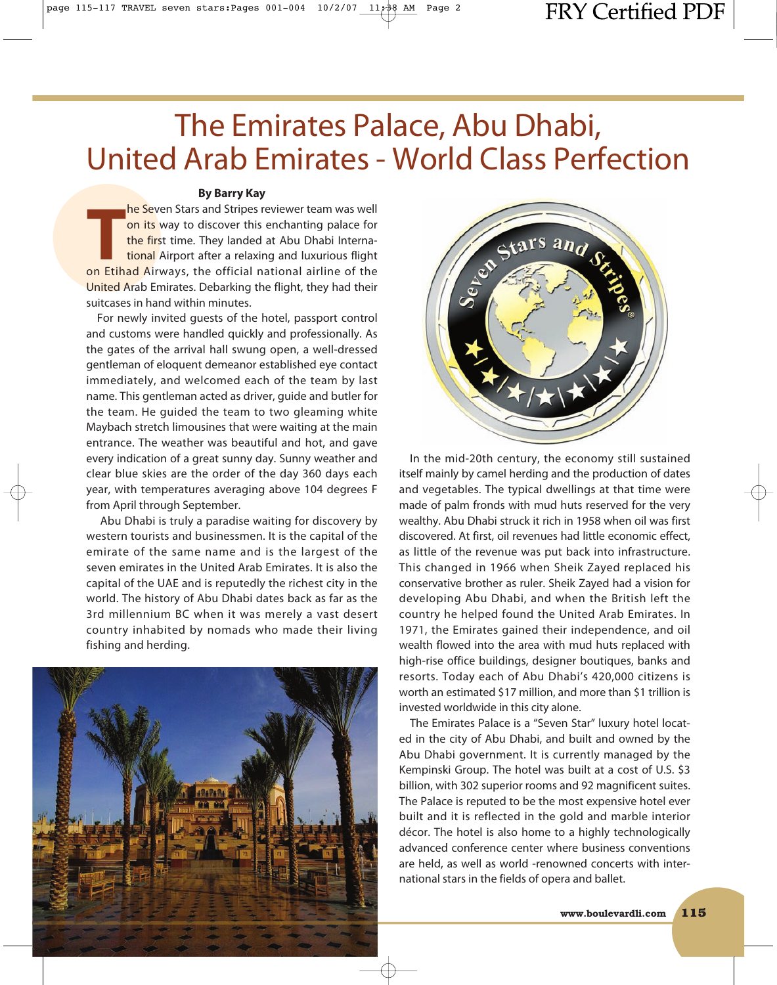# The Emirates Palace, Abu Dhabi, United Arab Emirates - World Class Perfection

### **By Barry Kay**

**T** on Etihad Airways, the official national airline of the **he Seven Stars and Stripes reviewer team was well** on its way to discover this enchanting palace for the first time. They landed at Abu Dhabi International Airport after a relaxing and luxurious flight United Arab Emirates. Debarking the flight, they had their suitcases in hand within minutes.

For newly invited guests of the hotel, passport control and customs were handled quickly and professionally. As the gates of the arrival hall swung open, a well-dressed gentleman of eloquent demeanor established eye contact immediately, and welcomed each of the team by last name. This gentleman acted as driver, guide and butler for the team. He guided the team to two gleaming white Maybach stretch limousines that were waiting at the main entrance. The weather was beautiful and hot, and gave every indication of a great sunny day. Sunny weather and clear blue skies are the order of the day 360 days each year, with temperatures averaging above 104 degrees F from April through September.

Abu Dhabi is truly a paradise waiting for discovery by western tourists and businessmen. It is the capital of the emirate of the same name and is the largest of the seven emirates in the United Arab Emirates. It is also the capital of the UAE and is reputedly the richest city in the world. The history of Abu Dhabi dates back as far as the 3rd millennium BC when it was merely a vast desert country inhabited by nomads who made their living fishing and herding.





In the mid-20th century, the economy still sustained itself mainly by camel herding and the production of dates and vegetables. The typical dwellings at that time were made of palm fronds with mud huts reserved for the very wealthy. Abu Dhabi struck it rich in 1958 when oil was first discovered. At first, oil revenues had little economic effect, as little of the revenue was put back into infrastructure. This changed in 1966 when Sheik Zayed replaced his conservative brother as ruler. Sheik Zayed had a vision for developing Abu Dhabi, and when the British left the country he helped found the United Arab Emirates. In 1971, the Emirates gained their independence, and oil wealth flowed into the area with mud huts replaced with high-rise office buildings, designer boutiques, banks and resorts. Today each of Abu Dhabi's 420,000 citizens is worth an estimated \$17 million, and more than \$1 trillion is invested worldwide in this city alone.

The Emirates Palace is a "Seven Star" luxury hotel located in the city of Abu Dhabi, and built and owned by the Abu Dhabi government. It is currently managed by the Kempinski Group. The hotel was built at a cost of U.S. \$3 billion, with 302 superior rooms and 92 magnificent suites. The Palace is reputed to be the most expensive hotel ever built and it is reflected in the gold and marble interior décor. The hotel is also home to a highly technologically advanced conference center where business conventions are held, as well as world -renowned concerts with international stars in the fields of opera and ballet.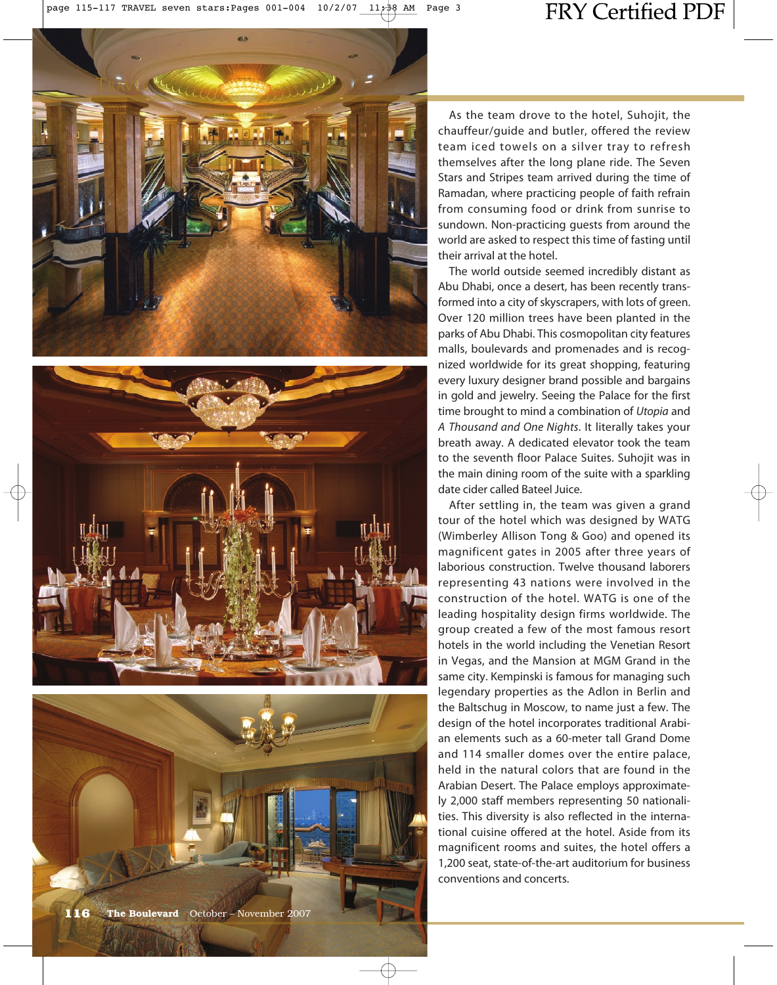





As the team drove to the hotel, Suhojit, the chauffeur/guide and butler, offered the review team iced towels on a silver tray to refresh themselves after the long plane ride. The Seven Stars and Stripes team arrived during the time of Ramadan, where practicing people of faith refrain from consuming food or drink from sunrise to sundown. Non-practicing guests from around the world are asked to respect this time of fasting until their arrival at the hotel.

The world outside seemed incredibly distant as Abu Dhabi, once a desert, has been recently transformed into a city of skyscrapers, with lots of green. Over 120 million trees have been planted in the parks of Abu Dhabi. This cosmopolitan city features malls, boulevards and promenades and is recognized worldwide for its great shopping, featuring every luxury designer brand possible and bargains in gold and jewelry. Seeing the Palace for the first time brought to mind a combination of *Utopia* and *A Thousand and One Nights*. It literally takes your breath away. A dedicated elevator took the team to the seventh floor Palace Suites. Suhojit was in the main dining room of the suite with a sparkling date cider called Bateel Juice.

After settling in, the team was given a grand tour of the hotel which was designed by WATG (Wimberley Allison Tong & Goo) and opened its magnificent gates in 2005 after three years of laborious construction. Twelve thousand laborers representing 43 nations were involved in the construction of the hotel. WATG is one of the leading hospitality design firms worldwide. The group created a few of the most famous resort hotels in the world including the Venetian Resort in Vegas, and the Mansion at MGM Grand in the same city. Kempinski is famous for managing such legendary properties as the Adlon in Berlin and the Baltschug in Moscow, to name just a few. The design of the hotel incorporates traditional Arabian elements such as a 60-meter tall Grand Dome and 114 smaller domes over the entire palace, held in the natural colors that are found in the Arabian Desert. The Palace employs approximately 2,000 staff members representing 50 nationalities. This diversity is also reflected in the international cuisine offered at the hotel. Aside from its magnificent rooms and suites, the hotel offers a 1,200 seat, state-of-the-art auditorium for business conventions and concerts.